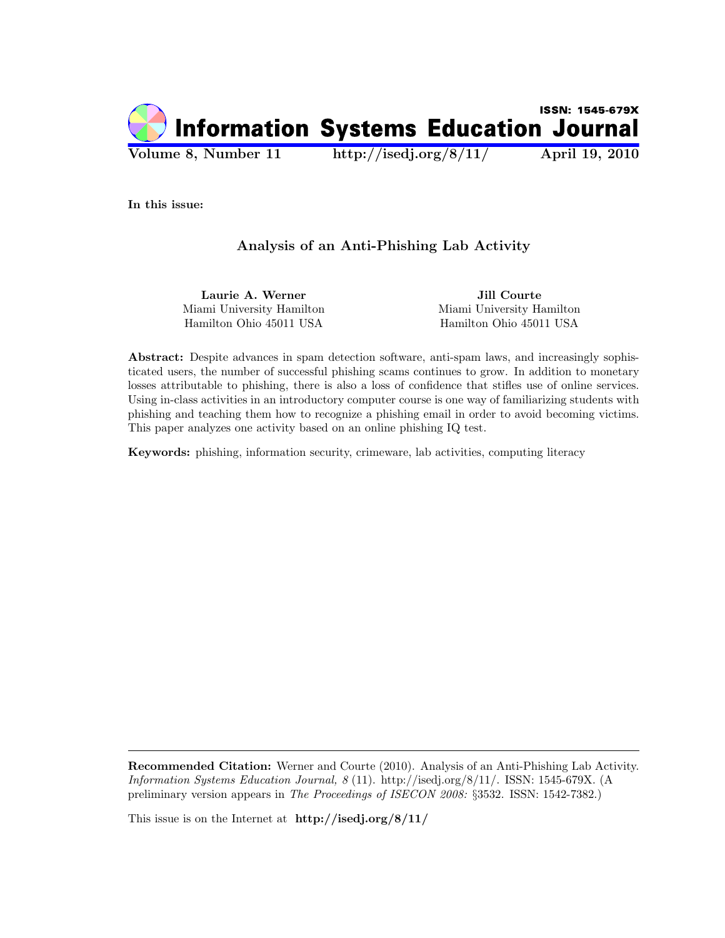

In this issue:

# Analysis of an Anti-Phishing Lab Activity

Laurie A. Werner Jill Courte Miami University Hamilton Miami University Hamilton Hamilton Ohio 45011 USA Hamilton Ohio 45011 USA

Abstract: Despite advances in spam detection software, anti-spam laws, and increasingly sophisticated users, the number of successful phishing scams continues to grow. In addition to monetary losses attributable to phishing, there is also a loss of confidence that stifles use of online services. Using in-class activities in an introductory computer course is one way of familiarizing students with phishing and teaching them how to recognize a phishing email in order to avoid becoming victims. This paper analyzes one activity based on an online phishing IQ test.

Keywords: phishing, information security, crimeware, lab activities, computing literacy

Recommended Citation: Werner and Courte (2010). Analysis of an Anti-Phishing Lab Activity. Information Systems Education Journal, 8 (11). http://isedj.org/8/11/. ISSN: 1545-679X. (A preliminary version appears in The Proceedings of ISECON 2008: §3532. ISSN: 1542-7382.)

This issue is on the Internet at http://isedj.org/8/11/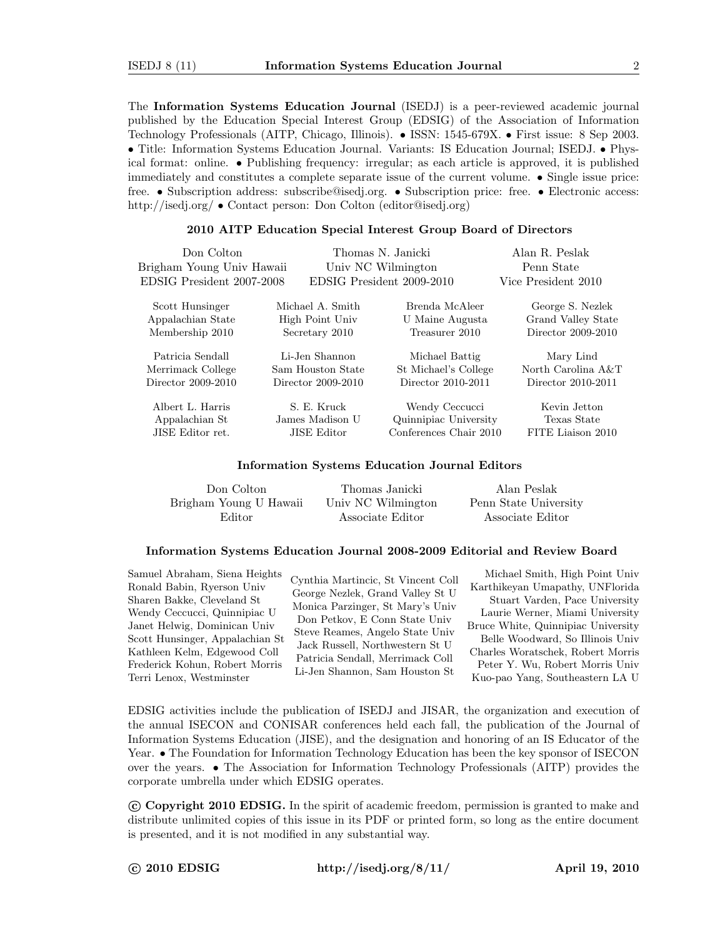The Information Systems Education Journal (ISEDJ) is a peer-reviewed academic journal published by the Education Special Interest Group (EDSIG) of the Association of Information Technology Professionals (AITP, Chicago, Illinois). • ISSN: 1545-679X. • First issue: 8 Sep 2003. • Title: Information Systems Education Journal. Variants: IS Education Journal; ISEDJ. • Physical format: online. • Publishing frequency: irregular; as each article is approved, it is published immediately and constitutes a complete separate issue of the current volume. • Single issue price: free. • Subscription address: subscribe@isedj.org. • Subscription price: free. • Electronic access: http://isedj.org/ • Contact person: Don Colton (editor@isedj.org)

#### 2010 AITP Education Special Interest Group Board of Directors

| Don Colton<br>Brigham Young Univ Hawaii<br>EDSIG President 2007-2008 |                    | Thomas N. Janicki<br>Univ NC Wilmington<br>EDSIG President 2009-2010 | Alan R. Peslak<br>Penn State<br>Vice President 2010 |
|----------------------------------------------------------------------|--------------------|----------------------------------------------------------------------|-----------------------------------------------------|
| Scott Hunsinger                                                      | Michael A. Smith   | Brenda McAleer                                                       | George S. Nezlek                                    |
| Appalachian State                                                    | High Point Univ    | U Maine Augusta                                                      | Grand Valley State                                  |
| Membership 2010                                                      | Secretary 2010     | Treasurer 2010                                                       | Director 2009-2010                                  |
| Patricia Sendall                                                     | Li-Jen Shannon     | Michael Battig                                                       | Mary Lind                                           |
| Merrimack College                                                    | Sam Houston State  | St Michael's College                                                 | North Carolina A&T                                  |
| Director 2009-2010                                                   | Director 2009-2010 | Director 2010-2011                                                   | Director 2010-2011                                  |
| Albert L. Harris                                                     | S. E. Kruck        | Wendy Ceccucci                                                       | Kevin Jetton                                        |
| Appalachian St                                                       | James Madison U    | Quinnipiac University                                                | Texas State                                         |
| JISE Editor ret.                                                     | JISE Editor        | Conferences Chair 2010                                               | FITE Liaison 2010                                   |

#### Information Systems Education Journal Editors

| Don Colton             | Thomas Janicki     | Alan Peslak           |
|------------------------|--------------------|-----------------------|
| Brigham Young U Hawaii | Univ NC Wilmington | Penn State University |
| Editor                 | Associate Editor   | Associate Editor      |

### Information Systems Education Journal 2008-2009 Editorial and Review Board

Samuel Abraham, Siena Heights Ronald Babin, Ryerson Univ Sharen Bakke, Cleveland St Wendy Ceccucci, Quinnipiac U Janet Helwig, Dominican Univ Scott Hunsinger, Appalachian St Kathleen Kelm, Edgewood Coll Frederick Kohun, Robert Morris Terri Lenox, Westminster

Cynthia Martincic, St Vincent Coll George Nezlek, Grand Valley St U Monica Parzinger, St Mary's Univ Don Petkov, E Conn State Univ Steve Reames, Angelo State Univ Jack Russell, Northwestern St U Patricia Sendall, Merrimack Coll Li-Jen Shannon, Sam Houston St

Michael Smith, High Point Univ Karthikeyan Umapathy, UNFlorida Stuart Varden, Pace University Laurie Werner, Miami University Bruce White, Quinnipiac University Belle Woodward, So Illinois Univ Charles Woratschek, Robert Morris Peter Y. Wu, Robert Morris Univ Kuo-pao Yang, Southeastern LA U

EDSIG activities include the publication of ISEDJ and JISAR, the organization and execution of the annual ISECON and CONISAR conferences held each fall, the publication of the Journal of Information Systems Education (JISE), and the designation and honoring of an IS Educator of the Year. • The Foundation for Information Technology Education has been the key sponsor of ISECON over the years. • The Association for Information Technology Professionals (AITP) provides the corporate umbrella under which EDSIG operates.

 c Copyright 2010 EDSIG. In the spirit of academic freedom, permission is granted to make and distribute unlimited copies of this issue in its PDF or printed form, so long as the entire document is presented, and it is not modified in any substantial way.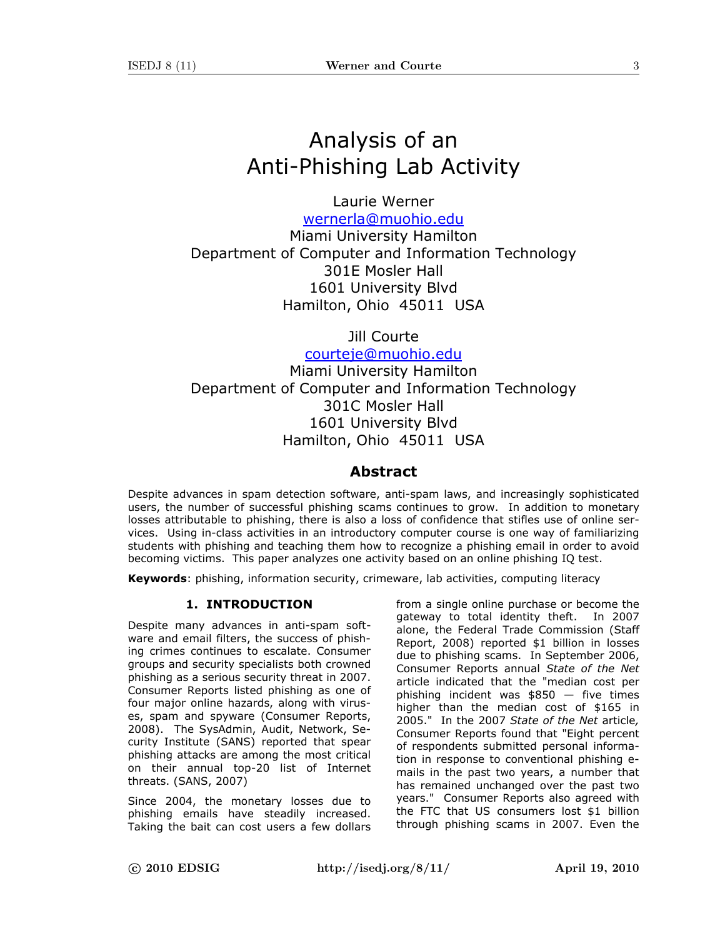# Analysis of an Anti-Phishing Lab Activity

Laurie Werner wernerla@muohio.edu

Miami University Hamilton Department of Computer and Information Technology 301E Mosler Hall 1601 University Blvd Hamilton, Ohio 45011 USA

Jill Courte

courteje@muohio.edu Miami University Hamilton

Department of Computer and Information Technology 301C Mosler Hall 1601 University Blvd Hamilton, Ohio 45011 USA

# Abstract

Despite advances in spam detection software, anti-spam laws, and increasingly sophisticated users, the number of successful phishing scams continues to grow. In addition to monetary losses attributable to phishing, there is also a loss of confidence that stifles use of online services. Using in-class activities in an introductory computer course is one way of familiarizing students with phishing and teaching them how to recognize a phishing email in order to avoid becoming victims. This paper analyzes one activity based on an online phishing IQ test.

Keywords: phishing, information security, crimeware, lab activities, computing literacy

# 1. INTRODUCTION

Despite many advances in anti-spam software and email filters, the success of phishing crimes continues to escalate. Consumer groups and security specialists both crowned phishing as a serious security threat in 2007. Consumer Reports listed phishing as one of four major online hazards, along with viruses, spam and spyware (Consumer Reports, 2008). The SysAdmin, Audit, Network, Security Institute (SANS) reported that spear phishing attacks are among the most critical on their annual top-20 list of Internet threats. (SANS, 2007)

Since 2004, the monetary losses due to phishing emails have steadily increased. Taking the bait can cost users a few dollars

from a single online purchase or become the gateway to total identity theft. In 2007 alone, the Federal Trade Commission (Staff Report, 2008) reported \$1 billion in losses due to phishing scams. In September 2006, Consumer Reports annual State of the Net article indicated that the "median cost per phishing incident was  $$850 - five times$ higher than the median cost of \$165 in 2005." In the 2007 State of the Net article, Consumer Reports found that "Eight percent of respondents submitted personal information in response to conventional phishing emails in the past two years, a number that has remained unchanged over the past two years." Consumer Reports also agreed with the FTC that US consumers lost \$1 billion through phishing scams in 2007. Even the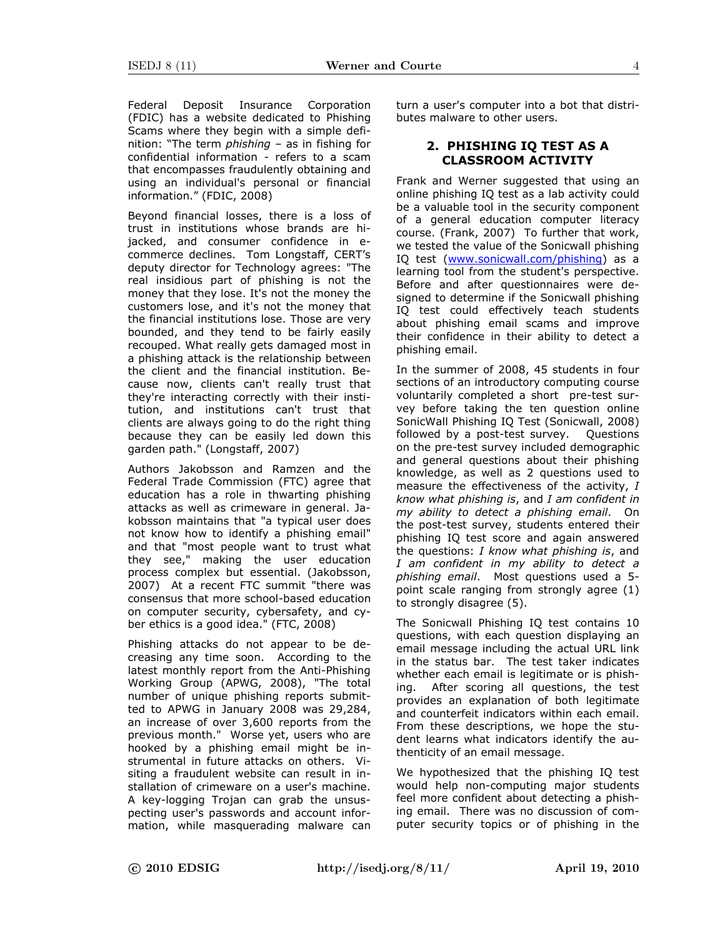Federal Deposit Insurance Corporation (FDIC) has a website dedicated to Phishing Scams where they begin with a simple definition: "The term  $phishing - as in fishing for$ confidential information - refers to a scam that encompasses fraudulently obtaining and using an individual's personal or financial information." (FDIC, 2008)

Beyond financial losses, there is a loss of trust in institutions whose brands are hijacked, and consumer confidence in ecommerce declines. Tom Longstaff, CERT's deputy director for Technology agrees: "The real insidious part of phishing is not the money that they lose. It's not the money the customers lose, and it's not the money that the financial institutions lose. Those are very bounded, and they tend to be fairly easily recouped. What really gets damaged most in a phishing attack is the relationship between the client and the financial institution. Because now, clients can't really trust that they're interacting correctly with their institution, and institutions can't trust that clients are always going to do the right thing because they can be easily led down this garden path." (Longstaff, 2007)

Authors Jakobsson and Ramzen and the Federal Trade Commission (FTC) agree that education has a role in thwarting phishing attacks as well as crimeware in general. Jakobsson maintains that "a typical user does not know how to identify a phishing email" and that "most people want to trust what they see," making the user education process complex but essential. (Jakobsson, 2007) At a recent FTC summit "there was consensus that more school-based education on computer security, cybersafety, and cyber ethics is a good idea." (FTC, 2008)

Phishing attacks do not appear to be decreasing any time soon. According to the latest monthly report from the Anti-Phishing Working Group (APWG, 2008), "The total number of unique phishing reports submitted to APWG in January 2008 was 29,284, an increase of over 3,600 reports from the previous month." Worse yet, users who are hooked by a phishing email might be instrumental in future attacks on others. Visiting a fraudulent website can result in installation of crimeware on a user's machine. A key-logging Trojan can grab the unsuspecting user's passwords and account information, while masquerading malware can turn a user's computer into a bot that distributes malware to other users.

# 2. PHISHING IQ TEST AS A CLASSROOM ACTIVITY

Frank and Werner suggested that using an online phishing IQ test as a lab activity could be a valuable tool in the security component of a general education computer literacy course. (Frank, 2007) To further that work, we tested the value of the Sonicwall phishing IQ test (www.sonicwall.com/phishing) as a learning tool from the student's perspective. Before and after questionnaires were designed to determine if the Sonicwall phishing IQ test could effectively teach students about phishing email scams and improve their confidence in their ability to detect a phishing email.

In the summer of 2008, 45 students in four sections of an introductory computing course voluntarily completed a short pre-test survey before taking the ten question online SonicWall Phishing IQ Test (Sonicwall, 2008) followed by a post-test survey. Questions on the pre-test survey included demographic and general questions about their phishing knowledge, as well as 2 questions used to measure the effectiveness of the activity, I know what phishing is, and I am confident in my ability to detect a phishing email. On the post-test survey, students entered their phishing IQ test score and again answered the questions: I know what phishing is, and I am confident in my ability to detect a phishing email. Most questions used a 5 point scale ranging from strongly agree (1) to strongly disagree (5).

The Sonicwall Phishing IQ test contains 10 questions, with each question displaying an email message including the actual URL link in the status bar. The test taker indicates whether each email is legitimate or is phishing. After scoring all questions, the test provides an explanation of both legitimate and counterfeit indicators within each email. From these descriptions, we hope the student learns what indicators identify the authenticity of an email message.

We hypothesized that the phishing IQ test would help non-computing major students feel more confident about detecting a phishing email. There was no discussion of computer security topics or of phishing in the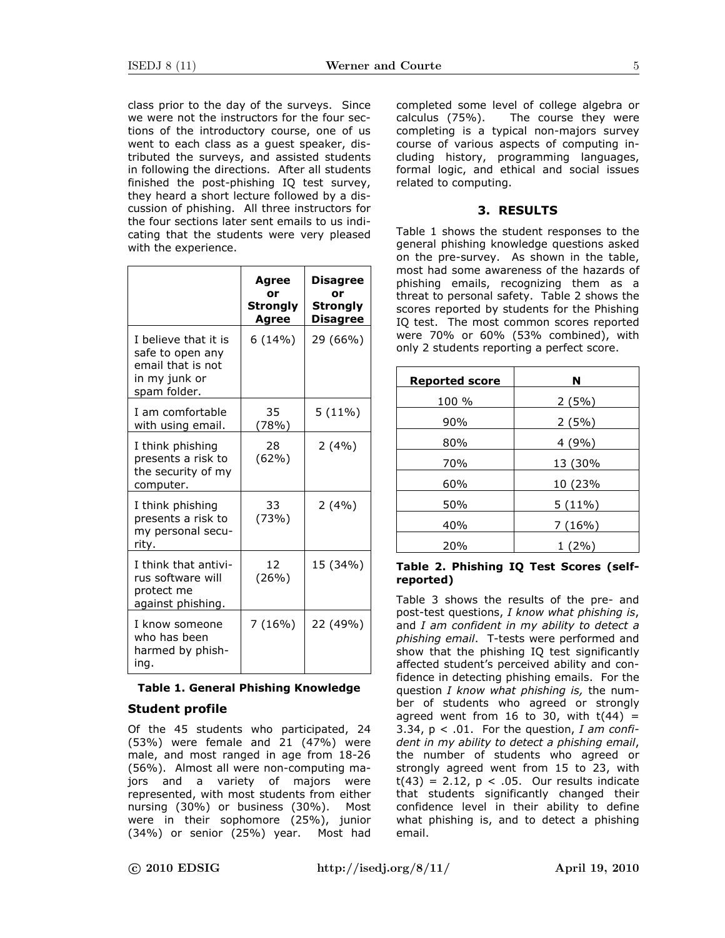class prior to the day of the surveys. Since we were not the instructors for the four sections of the introductory course, one of us went to each class as a guest speaker, distributed the surveys, and assisted students in following the directions. After all students finished the post-phishing IQ test survey, they heard a short lecture followed by a discussion of phishing. All three instructors for the four sections later sent emails to us indicating that the students were very pleased with the experience.

|                                                                                                | Agree<br>or<br>Strongly<br>Agree | Disagree<br>or<br>Strongly<br>Disagree |
|------------------------------------------------------------------------------------------------|----------------------------------|----------------------------------------|
| I believe that it is<br>safe to open any<br>email that is not<br>in my junk or<br>spam folder. | 6(14%)                           | 29 (66%)                               |
| I am comfortable<br>with using email.                                                          | 35<br>(78%)                      | $5(11\%)$                              |
| I think phishing<br>presents a risk to<br>the security of my<br>computer.                      | 28<br>(62%)                      | 2(4%)                                  |
| I think phishing<br>presents a risk to<br>my personal secu-<br>rity.                           | 33<br>(73%)                      | 2(4%)                                  |
| I think that antivi-<br>rus software will<br>protect me<br>against phishing.                   | 12<br>(26%)                      | 15 (34%)                               |
| I know someone<br>who has been<br>harmed by phish-<br>ing.                                     | 7(16%)                           | 22 (49%)                               |

# Table 1. General Phishing Knowledge

# Student profile

Of the 45 students who participated, 24 (53%) were female and 21 (47%) were male, and most ranged in age from 18-26 (56%). Almost all were non-computing majors and a variety of majors were represented, with most students from either nursing (30%) or business (30%). Most were in their sophomore (25%), junior (34%) or senior (25%) year. Most had completed some level of college algebra or calculus (75%). The course they were completing is a typical non-majors survey course of various aspects of computing including history, programming languages, formal logic, and ethical and social issues related to computing.

# 3. RESULTS

Table 1 shows the student responses to the general phishing knowledge questions asked on the pre-survey. As shown in the table, most had some awareness of the hazards of phishing emails, recognizing them as a threat to personal safety. Table 2 shows the scores reported by students for the Phishing IQ test. The most common scores reported were 70% or 60% (53% combined), with only 2 students reporting a perfect score.

| <b>Reported score</b> | N         |  |
|-----------------------|-----------|--|
| 100 %                 | 2(5%)     |  |
| 90%                   | 2(5%)     |  |
| 80%                   | 4(9%)     |  |
| 70%                   | 13 (30%   |  |
| 60%                   | 10 (23%   |  |
| 50%                   | $5(11\%)$ |  |
| 40%                   | 7(16%)    |  |
| 20%                   | 1 (2%)    |  |

### Table 2. Phishing IQ Test Scores (selfreported)

Table 3 shows the results of the pre- and post-test questions, I know what phishing is, and  $I$  am confident in my ability to detect a phishing email. T-tests were performed and show that the phishing IQ test significantly affected student's perceived ability and confidence in detecting phishing emails. For the question  $I$  know what phishing is, the number of students who agreed or strongly agreed went from 16 to 30, with  $t(44) =$ 3.34,  $p < .01$ . For the question, I am confident in my ability to detect a phishing email, the number of students who agreed or strongly agreed went from 15 to 23, with  $t(43) = 2.12$ ,  $p < .05$ . Our results indicate that students significantly changed their confidence level in their ability to define what phishing is, and to detect a phishing email.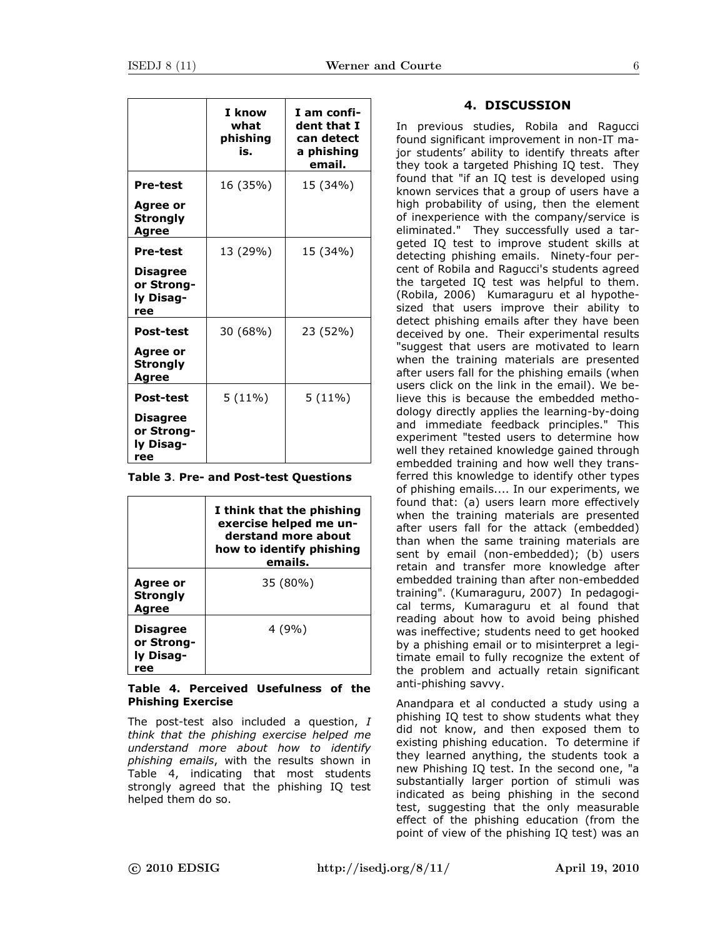|                                                                       | I know<br>what<br>phishing<br>is. | I am confi-<br>dent that I<br>can detect<br>a phishing<br>email. |
|-----------------------------------------------------------------------|-----------------------------------|------------------------------------------------------------------|
| <b>Pre-test</b><br>Agree or<br><b>Strongly</b><br>Agree               | 16 (35%)                          | 15 (34%)                                                         |
| Pre-test<br><b>Disagree</b><br>or Strong-<br>ly Disag-<br>ree         | 13 (29%)                          | 15 (34%)                                                         |
| <b>Post-test</b><br>Agree or<br>Strongly<br>Agree                     | 30 (68%)                          | 23 (52%)                                                         |
| <b>Post-test</b><br><b>Disagree</b><br>or Strong-<br>ly Disag-<br>ree | $5(11\%)$                         | $5(11\%)$                                                        |

|  |  |  |  | Table 3. Pre- and Post-test Questions |
|--|--|--|--|---------------------------------------|
|--|--|--|--|---------------------------------------|

|                                            | I think that the phishing<br>exercise helped me un-<br>derstand more about<br>how to identify phishing<br>emails. |
|--------------------------------------------|-------------------------------------------------------------------------------------------------------------------|
| Agree or<br><b>Strongly</b><br>Agree       | 35 (80%)                                                                                                          |
| Disagree<br>or Strong-<br>ly Disag-<br>ree | 4(9%)                                                                                                             |

### Table 4. Perceived Usefulness of the Phishing Exercise

The post-test also included a question, I think that the phishing exercise helped me understand more about how to identify phishing emails, with the results shown in Table 4, indicating that most students strongly agreed that the phishing IQ test helped them do so.

### 4. DISCUSSION

In previous studies, Robila and Ragucci found significant improvement in non-IT major students' ability to identify threats after they took a targeted Phishing IQ test. They found that "if an IQ test is developed using known services that a group of users have a high probability of using, then the element of inexperience with the company/service is eliminated." They successfully used a targeted IQ test to improve student skills at detecting phishing emails. Ninety-four percent of Robila and Ragucci's students agreed the targeted IQ test was helpful to them. (Robila, 2006) Kumaraguru et al hypothesized that users improve their ability to detect phishing emails after they have been deceived by one. Their experimental results "suggest that users are motivated to learn when the training materials are presented after users fall for the phishing emails (when users click on the link in the email). We believe this is because the embedded methodology directly applies the learning-by-doing and immediate feedback principles." This experiment "tested users to determine how well they retained knowledge gained through embedded training and how well they transferred this knowledge to identify other types of phishing emails.... In our experiments, we found that: (a) users learn more effectively when the training materials are presented after users fall for the attack (embedded) than when the same training materials are sent by email (non-embedded); (b) users retain and transfer more knowledge after embedded training than after non-embedded training". (Kumaraguru, 2007) In pedagogical terms, Kumaraguru et al found that reading about how to avoid being phished was ineffective; students need to get hooked by a phishing email or to misinterpret a legitimate email to fully recognize the extent of the problem and actually retain significant anti-phishing savvy.

Anandpara et al conducted a study using a phishing IQ test to show students what they did not know, and then exposed them to existing phishing education. To determine if they learned anything, the students took a new Phishing IQ test. In the second one, "a substantially larger portion of stimuli was indicated as being phishing in the second test, suggesting that the only measurable effect of the phishing education (from the point of view of the phishing IQ test) was an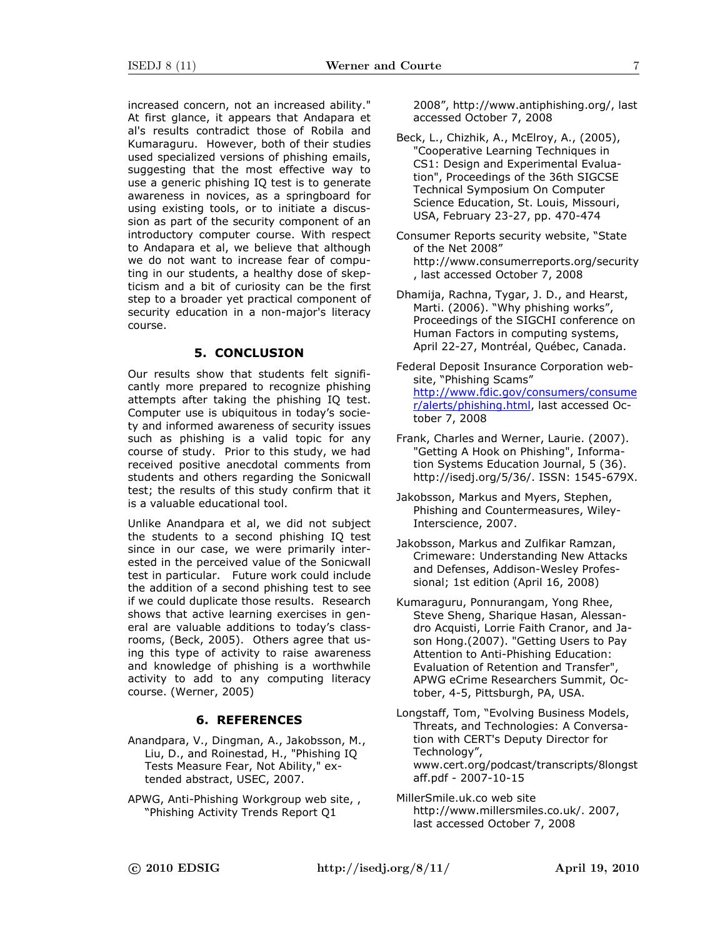increased concern, not an increased ability." At first glance, it appears that Andapara et al's results contradict those of Robila and Kumaraguru. However, both of their studies used specialized versions of phishing emails, suggesting that the most effective way to use a generic phishing IQ test is to generate awareness in novices, as a springboard for using existing tools, or to initiate a discussion as part of the security component of an introductory computer course. With respect to Andapara et al, we believe that although we do not want to increase fear of computing in our students, a healthy dose of skepticism and a bit of curiosity can be the first step to a broader yet practical component of security education in a non-major's literacy course.

## 5. CONCLUSION

Our results show that students felt significantly more prepared to recognize phishing attempts after taking the phishing IQ test. Computer use is ubiquitous in today's society and informed awareness of security issues such as phishing is a valid topic for any course of study. Prior to this study, we had received positive anecdotal comments from students and others regarding the Sonicwall test; the results of this study confirm that it is a valuable educational tool.

Unlike Anandpara et al, we did not subject the students to a second phishing IQ test since in our case, we were primarily interested in the perceived value of the Sonicwall test in particular. Future work could include the addition of a second phishing test to see if we could duplicate those results. Research shows that active learning exercises in general are valuable additions to today's classrooms, (Beck, 2005). Others agree that using this type of activity to raise awareness and knowledge of phishing is a worthwhile activity to add to any computing literacy course. (Werner, 2005)

### 6. REFERENCES

- Anandpara, V., Dingman, A., Jakobsson, M., Liu, D., and Roinestad, H., "Phishing IQ Tests Measure Fear, Not Ability," extended abstract, USEC, 2007.
- APWG, Anti-Phishing Workgroup web site, , "Phishing Activity Trends Report Q1

2008", http://www.antiphishing.org/, last accessed October 7, 2008

- Beck, L., Chizhik, A., McElroy, A., (2005), "Cooperative Learning Techniques in CS1: Design and Experimental Evaluation", Proceedings of the 36th SIGCSE Technical Symposium On Computer Science Education, St. Louis, Missouri, USA, February 23-27, pp. 470-474
- Consumer Reports security website, "State of the Net 2008" http://www.consumerreports.org/security , last accessed October 7, 2008
- Dhamija, Rachna, Tygar, J. D., and Hearst, Marti. (2006). "Why phishing works", Proceedings of the SIGCHI conference on Human Factors in computing systems, April 22-27, Montréal, Québec, Canada.
- Federal Deposit Insurance Corporation website, "Phishing Scams" http://www.fdic.gov/consumers/consume r/alerts/phishing.html, last accessed October 7, 2008
- Frank, Charles and Werner, Laurie. (2007). "Getting A Hook on Phishing", Information Systems Education Journal, 5 (36). http://isedj.org/5/36/. ISSN: 1545-679X.
- Jakobsson, Markus and Myers, Stephen, Phishing and Countermeasures, Wiley-Interscience, 2007.
- Jakobsson, Markus and Zulfikar Ramzan, Crimeware: Understanding New Attacks and Defenses, Addison-Wesley Professional; 1st edition (April 16, 2008)
- Kumaraguru, Ponnurangam, Yong Rhee, Steve Sheng, Sharique Hasan, Alessandro Acquisti, Lorrie Faith Cranor, and Jason Hong.(2007). "Getting Users to Pay Attention to Anti-Phishing Education: Evaluation of Retention and Transfer", APWG eCrime Researchers Summit, October, 4-5, Pittsburgh, PA, USA.
- Longstaff, Tom, "Evolving Business Models, Threats, and Technologies: A Conversation with CERT's Deputy Director for Technology", www.cert.org/podcast/transcripts/8longst aff.pdf - 2007-10-15
- MillerSmile.uk.co web site http://www.millersmiles.co.uk/. 2007, last accessed October 7, 2008